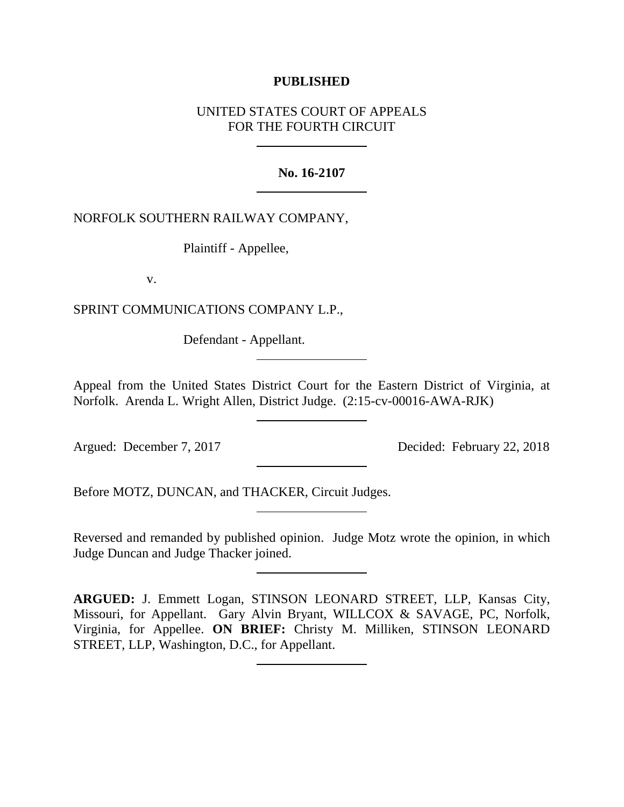## **PUBLISHED**

# UNITED STATES COURT OF APPEALS FOR THE FOURTH CIRCUIT

## **No. 16-2107**

NORFOLK SOUTHERN RAILWAY COMPANY,

Plaintiff - Appellee,

v.

SPRINT COMMUNICATIONS COMPANY L.P.,

Defendant - Appellant.

Appeal from the United States District Court for the Eastern District of Virginia, at Norfolk. Arenda L. Wright Allen, District Judge. (2:15-cv-00016-AWA-RJK)

Argued: December 7, 2017 Decided: February 22, 2018

Before MOTZ, DUNCAN, and THACKER, Circuit Judges.

Reversed and remanded by published opinion. Judge Motz wrote the opinion, in which Judge Duncan and Judge Thacker joined.

**ARGUED:** J. Emmett Logan, STINSON LEONARD STREET, LLP, Kansas City, Missouri, for Appellant. Gary Alvin Bryant, WILLCOX & SAVAGE, PC, Norfolk, Virginia, for Appellee. **ON BRIEF:** Christy M. Milliken, STINSON LEONARD STREET, LLP, Washington, D.C., for Appellant.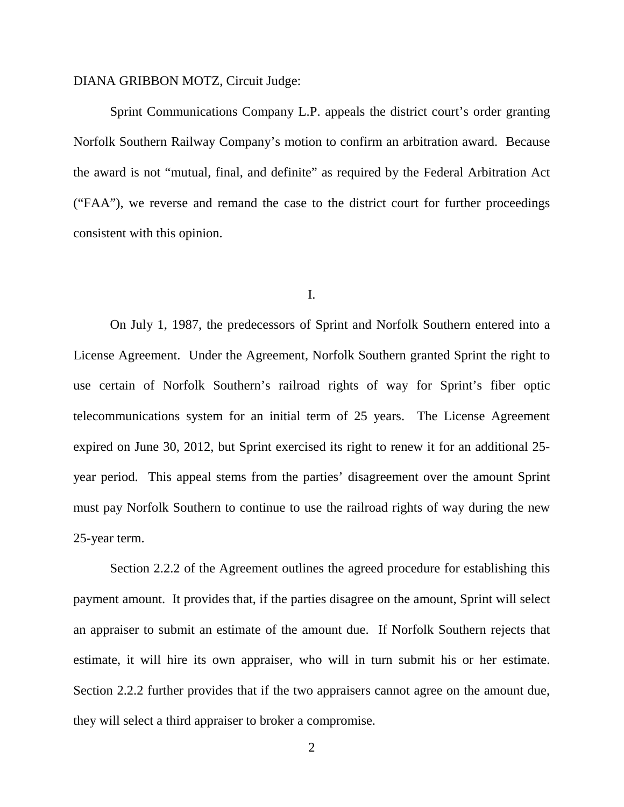## DIANA GRIBBON MOTZ, Circuit Judge:

Sprint Communications Company L.P. appeals the district court's order granting Norfolk Southern Railway Company's motion to confirm an arbitration award. Because the award is not "mutual, final, and definite" as required by the Federal Arbitration Act ("FAA"), we reverse and remand the case to the district court for further proceedings consistent with this opinion.

#### I.

On July 1, 1987, the predecessors of Sprint and Norfolk Southern entered into a License Agreement. Under the Agreement, Norfolk Southern granted Sprint the right to use certain of Norfolk Southern's railroad rights of way for Sprint's fiber optic telecommunications system for an initial term of 25 years. The License Agreement expired on June 30, 2012, but Sprint exercised its right to renew it for an additional 25 year period. This appeal stems from the parties' disagreement over the amount Sprint must pay Norfolk Southern to continue to use the railroad rights of way during the new 25-year term.

Section 2.2.2 of the Agreement outlines the agreed procedure for establishing this payment amount. It provides that, if the parties disagree on the amount, Sprint will select an appraiser to submit an estimate of the amount due. If Norfolk Southern rejects that estimate, it will hire its own appraiser, who will in turn submit his or her estimate. Section 2.2.2 further provides that if the two appraisers cannot agree on the amount due, they will select a third appraiser to broker a compromise.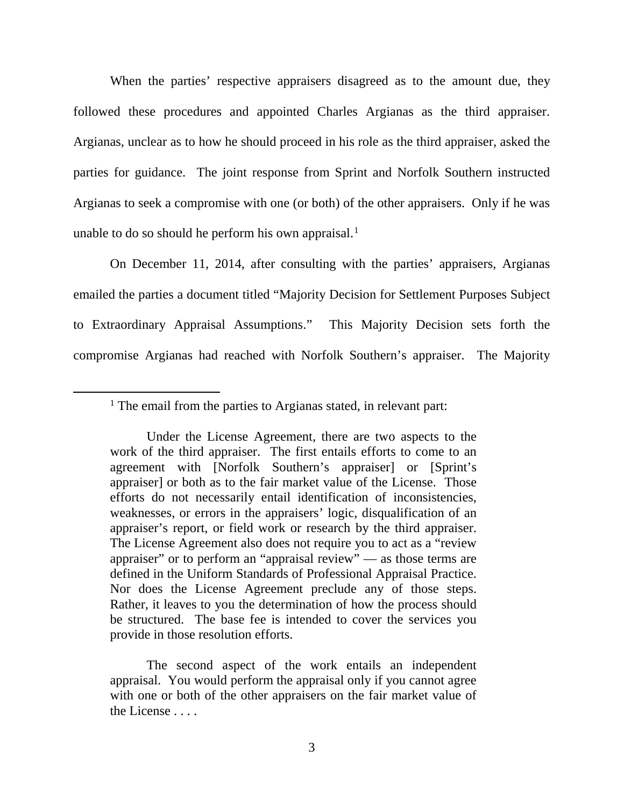When the parties' respective appraisers disagreed as to the amount due, they followed these procedures and appointed Charles Argianas as the third appraiser. Argianas, unclear as to how he should proceed in his role as the third appraiser, asked the parties for guidance. The joint response from Sprint and Norfolk Southern instructed Argianas to seek a compromise with one (or both) of the other appraisers. Only if he was unable to do so should he perform his own appraisal.<sup>[1](#page-2-0)</sup>

On December 11, 2014, after consulting with the parties' appraisers, Argianas emailed the parties a document titled "Majority Decision for Settlement Purposes Subject to Extraordinary Appraisal Assumptions." This Majority Decision sets forth the compromise Argianas had reached with Norfolk Southern's appraiser. The Majority

The second aspect of the work entails an independent appraisal. You would perform the appraisal only if you cannot agree with one or both of the other appraisers on the fair market value of the License . . . .

<span id="page-2-0"></span><sup>&</sup>lt;sup>1</sup> The email from the parties to Argianas stated, in relevant part:

Under the License Agreement, there are two aspects to the work of the third appraiser. The first entails efforts to come to an agreement with [Norfolk Southern's appraiser] or [Sprint's appraiser] or both as to the fair market value of the License. Those efforts do not necessarily entail identification of inconsistencies, weaknesses, or errors in the appraisers' logic, disqualification of an appraiser's report, or field work or research by the third appraiser. The License Agreement also does not require you to act as a "review appraiser" or to perform an "appraisal review" — as those terms are defined in the Uniform Standards of Professional Appraisal Practice. Nor does the License Agreement preclude any of those steps. Rather, it leaves to you the determination of how the process should be structured. The base fee is intended to cover the services you provide in those resolution efforts.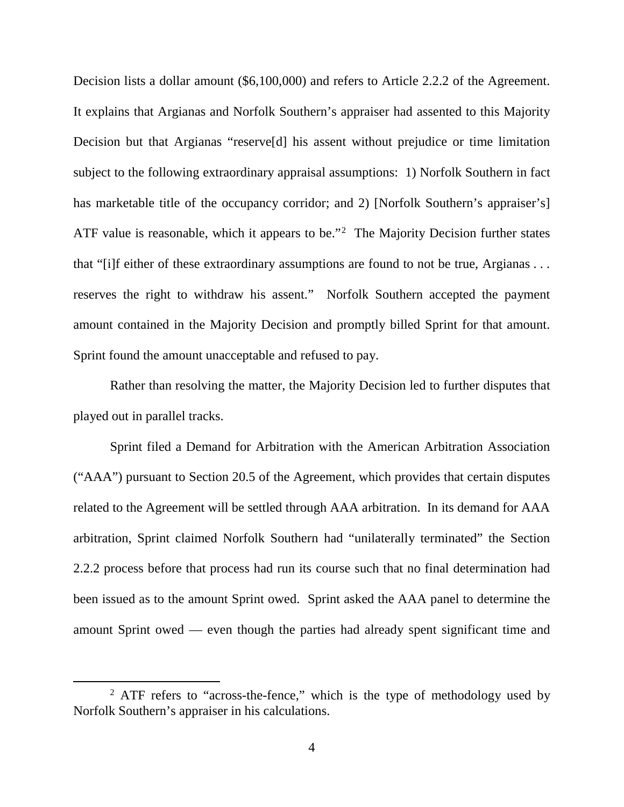Decision lists a dollar amount (\$6,100,000) and refers to Article 2.2.2 of the Agreement. It explains that Argianas and Norfolk Southern's appraiser had assented to this Majority Decision but that Argianas "reserve[d] his assent without prejudice or time limitation subject to the following extraordinary appraisal assumptions: 1) Norfolk Southern in fact has marketable title of the occupancy corridor; and 2) [Norfolk Southern's appraiser's] ATF value is reasonable, which it appears to be."<sup>[2](#page-3-0)</sup> The Majority Decision further states that "[i]f either of these extraordinary assumptions are found to not be true, Argianas . . . reserves the right to withdraw his assent." Norfolk Southern accepted the payment amount contained in the Majority Decision and promptly billed Sprint for that amount. Sprint found the amount unacceptable and refused to pay.

Rather than resolving the matter, the Majority Decision led to further disputes that played out in parallel tracks.

Sprint filed a Demand for Arbitration with the American Arbitration Association ("AAA") pursuant to Section 20.5 of the Agreement, which provides that certain disputes related to the Agreement will be settled through AAA arbitration. In its demand for AAA arbitration, Sprint claimed Norfolk Southern had "unilaterally terminated" the Section 2.2.2 process before that process had run its course such that no final determination had been issued as to the amount Sprint owed. Sprint asked the AAA panel to determine the amount Sprint owed — even though the parties had already spent significant time and

<span id="page-3-0"></span><sup>&</sup>lt;sup>2</sup> ATF refers to "across-the-fence," which is the type of methodology used by Norfolk Southern's appraiser in his calculations.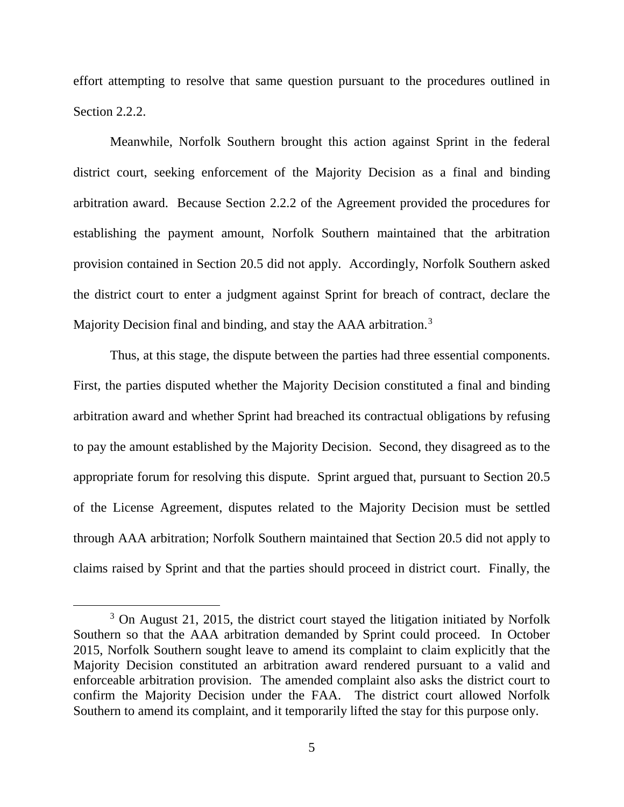effort attempting to resolve that same question pursuant to the procedures outlined in Section 2.2.2.

Meanwhile, Norfolk Southern brought this action against Sprint in the federal district court, seeking enforcement of the Majority Decision as a final and binding arbitration award. Because Section 2.2.2 of the Agreement provided the procedures for establishing the payment amount, Norfolk Southern maintained that the arbitration provision contained in Section 20.5 did not apply. Accordingly, Norfolk Southern asked the district court to enter a judgment against Sprint for breach of contract, declare the Majority Decision final and binding, and stay the AAA arbitration.<sup>[3](#page-4-0)</sup>

Thus, at this stage, the dispute between the parties had three essential components. First, the parties disputed whether the Majority Decision constituted a final and binding arbitration award and whether Sprint had breached its contractual obligations by refusing to pay the amount established by the Majority Decision. Second, they disagreed as to the appropriate forum for resolving this dispute. Sprint argued that, pursuant to Section 20.5 of the License Agreement, disputes related to the Majority Decision must be settled through AAA arbitration; Norfolk Southern maintained that Section 20.5 did not apply to claims raised by Sprint and that the parties should proceed in district court. Finally, the

<span id="page-4-0"></span><sup>&</sup>lt;sup>3</sup> On August 21, 2015, the district court stayed the litigation initiated by Norfolk Southern so that the AAA arbitration demanded by Sprint could proceed. In October 2015, Norfolk Southern sought leave to amend its complaint to claim explicitly that the Majority Decision constituted an arbitration award rendered pursuant to a valid and enforceable arbitration provision. The amended complaint also asks the district court to confirm the Majority Decision under the FAA. The district court allowed Norfolk Southern to amend its complaint, and it temporarily lifted the stay for this purpose only.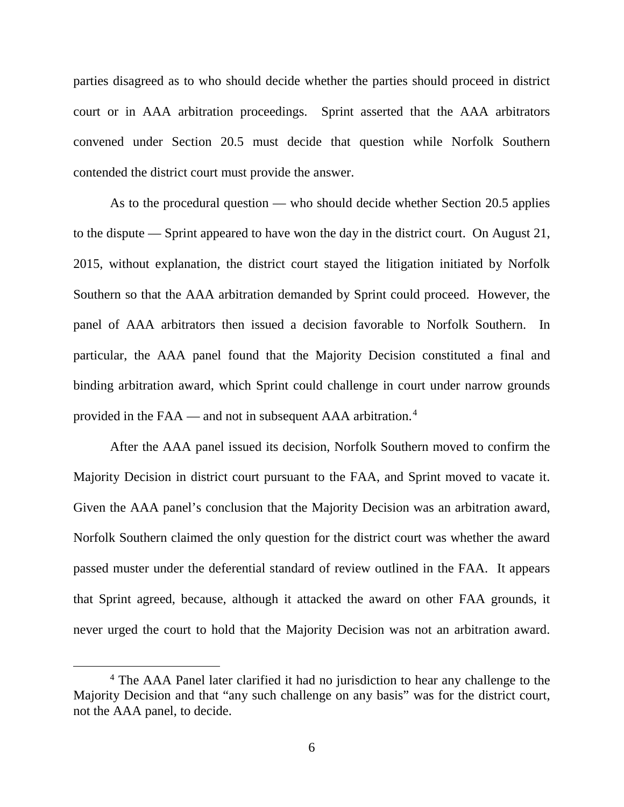parties disagreed as to who should decide whether the parties should proceed in district court or in AAA arbitration proceedings. Sprint asserted that the AAA arbitrators convened under Section 20.5 must decide that question while Norfolk Southern contended the district court must provide the answer.

As to the procedural question — who should decide whether Section 20.5 applies to the dispute — Sprint appeared to have won the day in the district court. On August 21, 2015, without explanation, the district court stayed the litigation initiated by Norfolk Southern so that the AAA arbitration demanded by Sprint could proceed. However, the panel of AAA arbitrators then issued a decision favorable to Norfolk Southern. In particular, the AAA panel found that the Majority Decision constituted a final and binding arbitration award, which Sprint could challenge in court under narrow grounds provided in the FAA — and not in subsequent AAA arbitration.[4](#page-5-0)

After the AAA panel issued its decision, Norfolk Southern moved to confirm the Majority Decision in district court pursuant to the FAA, and Sprint moved to vacate it. Given the AAA panel's conclusion that the Majority Decision was an arbitration award, Norfolk Southern claimed the only question for the district court was whether the award passed muster under the deferential standard of review outlined in the FAA. It appears that Sprint agreed, because, although it attacked the award on other FAA grounds, it never urged the court to hold that the Majority Decision was not an arbitration award.

<span id="page-5-0"></span> <sup>4</sup> The AAA Panel later clarified it had no jurisdiction to hear any challenge to the Majority Decision and that "any such challenge on any basis" was for the district court, not the AAA panel, to decide.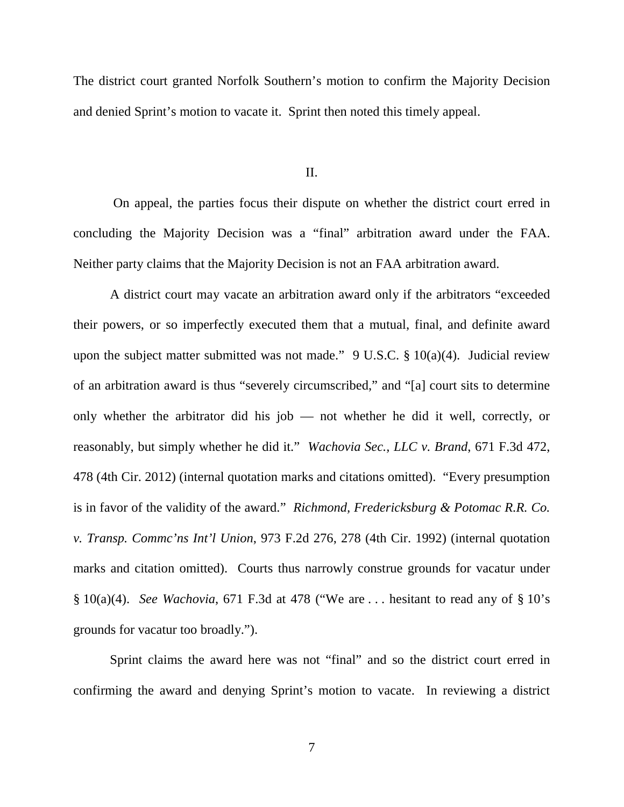The district court granted Norfolk Southern's motion to confirm the Majority Decision and denied Sprint's motion to vacate it. Sprint then noted this timely appeal.

II.

On appeal, the parties focus their dispute on whether the district court erred in concluding the Majority Decision was a "final" arbitration award under the FAA. Neither party claims that the Majority Decision is not an FAA arbitration award.

A district court may vacate an arbitration award only if the arbitrators "exceeded their powers, or so imperfectly executed them that a mutual, final, and definite award upon the subject matter submitted was not made." 9 U.S.C. § 10(a)(4). Judicial review of an arbitration award is thus "severely circumscribed," and "[a] court sits to determine only whether the arbitrator did his job — not whether he did it well, correctly, or reasonably, but simply whether he did it." *Wachovia Sec., LLC v. Brand*, 671 F.3d 472, 478 (4th Cir. 2012) (internal quotation marks and citations omitted). "Every presumption is in favor of the validity of the award." *Richmond, Fredericksburg & Potomac R.R. Co. v. Transp. Commc'ns Int'l Union*, 973 F.2d 276, 278 (4th Cir. 1992) (internal quotation marks and citation omitted). Courts thus narrowly construe grounds for vacatur under § 10(a)(4). *See Wachovia*, 671 F.3d at 478 ("We are . . . hesitant to read any of § 10's grounds for vacatur too broadly.").

Sprint claims the award here was not "final" and so the district court erred in confirming the award and denying Sprint's motion to vacate. In reviewing a district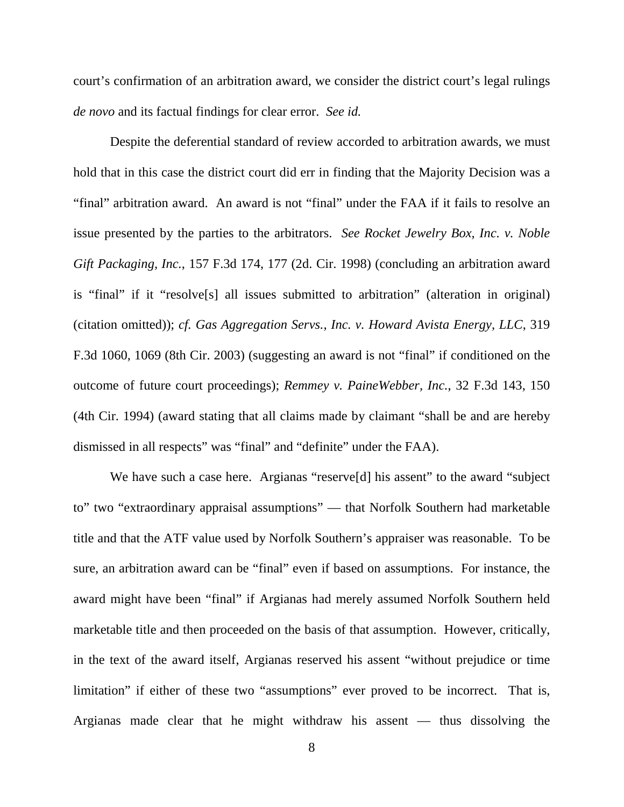court's confirmation of an arbitration award, we consider the district court's legal rulings *de novo* and its factual findings for clear error. *See id.*

Despite the deferential standard of review accorded to arbitration awards, we must hold that in this case the district court did err in finding that the Majority Decision was a "final" arbitration award. An award is not "final" under the FAA if it fails to resolve an issue presented by the parties to the arbitrators. *See Rocket Jewelry Box, Inc. v. Noble Gift Packaging, Inc.*, 157 F.3d 174, 177 (2d. Cir. 1998) (concluding an arbitration award is "final" if it "resolve[s] all issues submitted to arbitration" (alteration in original) (citation omitted)); *cf. Gas Aggregation Servs., Inc. v. Howard Avista Energy, LLC*, 319 F.3d 1060, 1069 (8th Cir. 2003) (suggesting an award is not "final" if conditioned on the outcome of future court proceedings); *Remmey v. PaineWebber, Inc.*, 32 F.3d 143, 150 (4th Cir. 1994) (award stating that all claims made by claimant "shall be and are hereby dismissed in all respects" was "final" and "definite" under the FAA).

We have such a case here. Argianas "reserve<sup>[d]</sup> his assent" to the award "subject" to" two "extraordinary appraisal assumptions" — that Norfolk Southern had marketable title and that the ATF value used by Norfolk Southern's appraiser was reasonable. To be sure, an arbitration award can be "final" even if based on assumptions. For instance, the award might have been "final" if Argianas had merely assumed Norfolk Southern held marketable title and then proceeded on the basis of that assumption. However, critically, in the text of the award itself, Argianas reserved his assent "without prejudice or time limitation" if either of these two "assumptions" ever proved to be incorrect. That is, Argianas made clear that he might withdraw his assent — thus dissolving the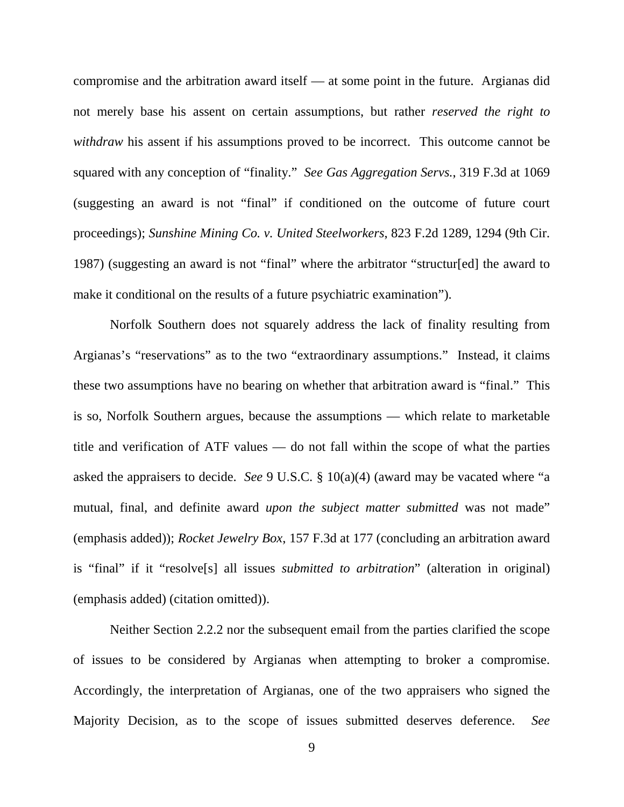compromise and the arbitration award itself — at some point in the future. Argianas did not merely base his assent on certain assumptions, but rather *reserved the right to withdraw* his assent if his assumptions proved to be incorrect. This outcome cannot be squared with any conception of "finality." *See Gas Aggregation Servs.*, 319 F.3d at 1069 (suggesting an award is not "final" if conditioned on the outcome of future court proceedings); *Sunshine Mining Co. v. United Steelworkers*, 823 F.2d 1289, 1294 (9th Cir. 1987) (suggesting an award is not "final" where the arbitrator "structur[ed] the award to make it conditional on the results of a future psychiatric examination").

Norfolk Southern does not squarely address the lack of finality resulting from Argianas's "reservations" as to the two "extraordinary assumptions." Instead, it claims these two assumptions have no bearing on whether that arbitration award is "final." This is so, Norfolk Southern argues, because the assumptions — which relate to marketable title and verification of ATF values — do not fall within the scope of what the parties asked the appraisers to decide. *See* 9 U.S.C. § 10(a)(4) (award may be vacated where "a mutual, final, and definite award *upon the subject matter submitted* was not made" (emphasis added)); *Rocket Jewelry Box*, 157 F.3d at 177 (concluding an arbitration award is "final" if it "resolve[s] all issues *submitted to arbitration*" (alteration in original) (emphasis added) (citation omitted)).

Neither Section 2.2.2 nor the subsequent email from the parties clarified the scope of issues to be considered by Argianas when attempting to broker a compromise. Accordingly, the interpretation of Argianas, one of the two appraisers who signed the Majority Decision, as to the scope of issues submitted deserves deference. *See*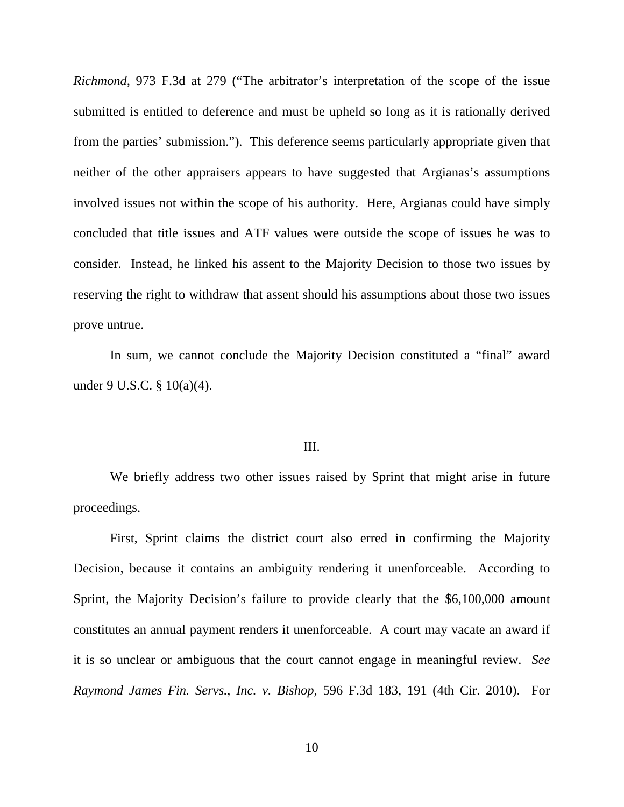*Richmond*, 973 F.3d at 279 ("The arbitrator's interpretation of the scope of the issue submitted is entitled to deference and must be upheld so long as it is rationally derived from the parties' submission."). This deference seems particularly appropriate given that neither of the other appraisers appears to have suggested that Argianas's assumptions involved issues not within the scope of his authority. Here, Argianas could have simply concluded that title issues and ATF values were outside the scope of issues he was to consider. Instead, he linked his assent to the Majority Decision to those two issues by reserving the right to withdraw that assent should his assumptions about those two issues prove untrue.

In sum, we cannot conclude the Majority Decision constituted a "final" award under 9 U.S.C. § 10(a)(4).

#### III.

We briefly address two other issues raised by Sprint that might arise in future proceedings.

First, Sprint claims the district court also erred in confirming the Majority Decision, because it contains an ambiguity rendering it unenforceable. According to Sprint, the Majority Decision's failure to provide clearly that the \$6,100,000 amount constitutes an annual payment renders it unenforceable. A court may vacate an award if it is so unclear or ambiguous that the court cannot engage in meaningful review. *See Raymond James Fin. Servs., Inc. v. Bishop*, 596 F.3d 183, 191 (4th Cir. 2010). For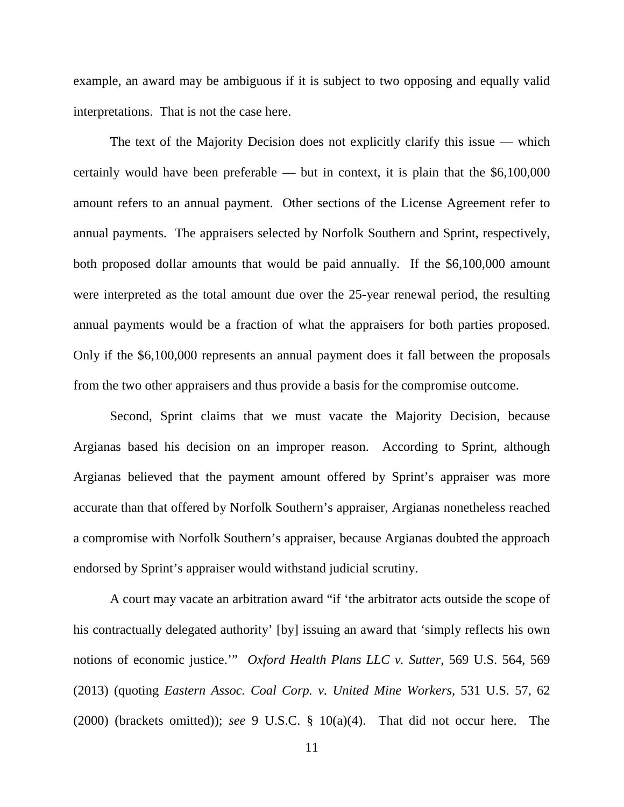example, an award may be ambiguous if it is subject to two opposing and equally valid interpretations. That is not the case here.

The text of the Majority Decision does not explicitly clarify this issue — which certainly would have been preferable — but in context, it is plain that the  $$6,100,000$ amount refers to an annual payment. Other sections of the License Agreement refer to annual payments. The appraisers selected by Norfolk Southern and Sprint, respectively, both proposed dollar amounts that would be paid annually. If the \$6,100,000 amount were interpreted as the total amount due over the 25-year renewal period, the resulting annual payments would be a fraction of what the appraisers for both parties proposed. Only if the \$6,100,000 represents an annual payment does it fall between the proposals from the two other appraisers and thus provide a basis for the compromise outcome.

Second, Sprint claims that we must vacate the Majority Decision, because Argianas based his decision on an improper reason. According to Sprint, although Argianas believed that the payment amount offered by Sprint's appraiser was more accurate than that offered by Norfolk Southern's appraiser, Argianas nonetheless reached a compromise with Norfolk Southern's appraiser, because Argianas doubted the approach endorsed by Sprint's appraiser would withstand judicial scrutiny.

A court may vacate an arbitration award "if 'the arbitrator acts outside the scope of his contractually delegated authority' [by] issuing an award that 'simply reflects his own notions of economic justice.'" *Oxford Health Plans LLC v. Sutter*, 569 U.S. 564, 569 (2013) (quoting *Eastern Assoc. Coal Corp. v. United Mine Workers*, 531 U.S. 57, 62 (2000) (brackets omitted)); *see* 9 U.S.C. § 10(a)(4). That did not occur here. The